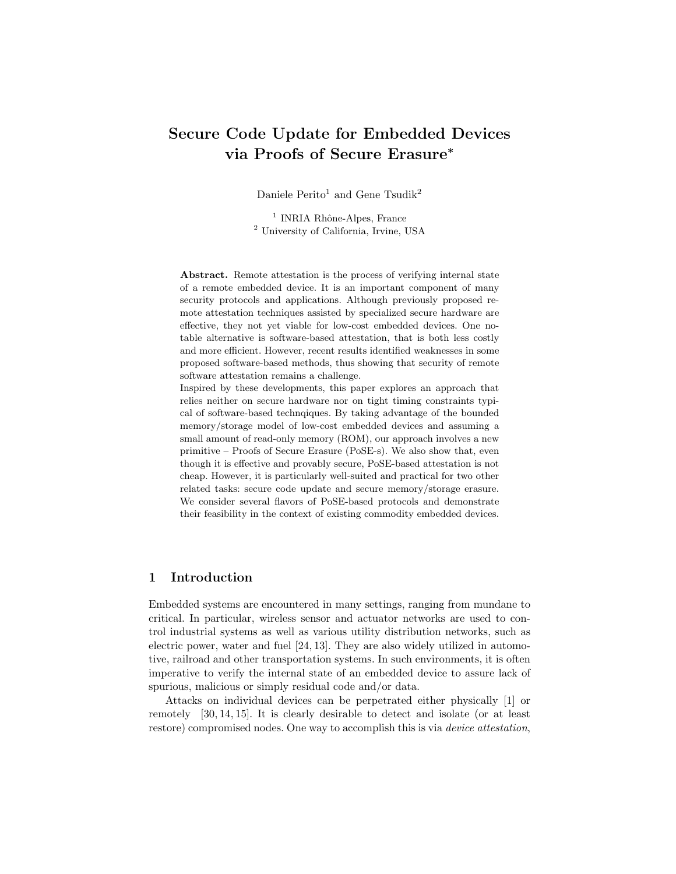# Secure Code Update for Embedded Devices via Proofs of Secure Erasure<sup>∗</sup>

Daniele Perito<sup>1</sup> and Gene Tsudik<sup>2</sup>

<sup>1</sup> INRIA Rhône-Alpes, France <sup>2</sup> University of California, Irvine, USA

Abstract. Remote attestation is the process of verifying internal state of a remote embedded device. It is an important component of many security protocols and applications. Although previously proposed remote attestation techniques assisted by specialized secure hardware are effective, they not yet viable for low-cost embedded devices. One notable alternative is software-based attestation, that is both less costly and more efficient. However, recent results identified weaknesses in some proposed software-based methods, thus showing that security of remote software attestation remains a challenge.

Inspired by these developments, this paper explores an approach that relies neither on secure hardware nor on tight timing constraints typical of software-based technqiques. By taking advantage of the bounded memory/storage model of low-cost embedded devices and assuming a small amount of read-only memory (ROM), our approach involves a new primitive – Proofs of Secure Erasure (PoSE-s). We also show that, even though it is effective and provably secure, PoSE-based attestation is not cheap. However, it is particularly well-suited and practical for two other related tasks: secure code update and secure memory/storage erasure. We consider several flavors of PoSE-based protocols and demonstrate their feasibility in the context of existing commodity embedded devices.

# 1 Introduction

Embedded systems are encountered in many settings, ranging from mundane to critical. In particular, wireless sensor and actuator networks are used to control industrial systems as well as various utility distribution networks, such as electric power, water and fuel [24, 13]. They are also widely utilized in automotive, railroad and other transportation systems. In such environments, it is often imperative to verify the internal state of an embedded device to assure lack of spurious, malicious or simply residual code and/or data.

Attacks on individual devices can be perpetrated either physically [1] or remotely [30, 14, 15]. It is clearly desirable to detect and isolate (or at least restore) compromised nodes. One way to accomplish this is via *device attestation*,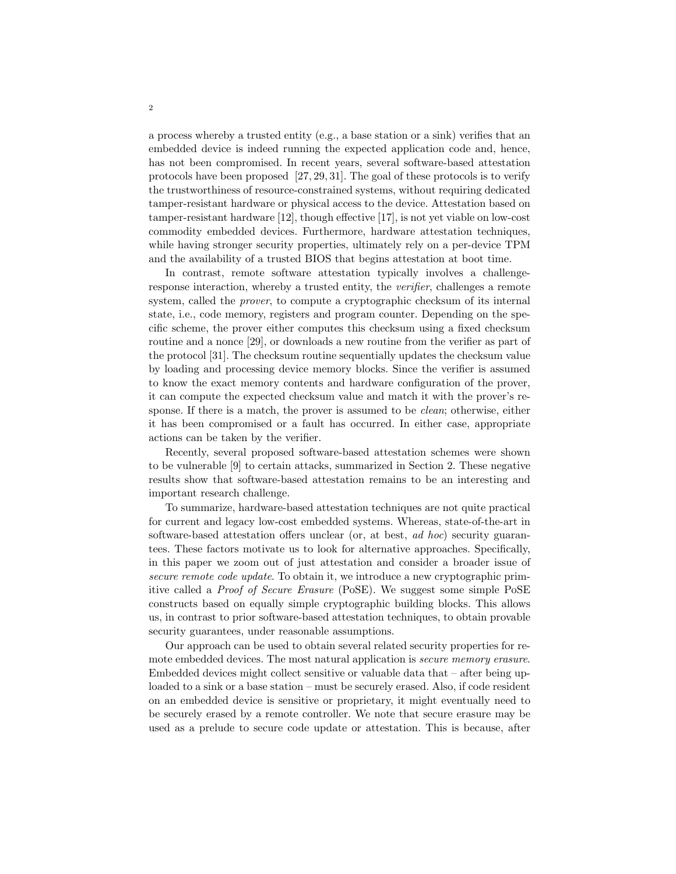a process whereby a trusted entity (e.g., a base station or a sink) verifies that an embedded device is indeed running the expected application code and, hence, has not been compromised. In recent years, several software-based attestation protocols have been proposed [27, 29, 31]. The goal of these protocols is to verify the trustworthiness of resource-constrained systems, without requiring dedicated tamper-resistant hardware or physical access to the device. Attestation based on tamper-resistant hardware [12], though effective [17], is not yet viable on low-cost commodity embedded devices. Furthermore, hardware attestation techniques, while having stronger security properties, ultimately rely on a per-device TPM and the availability of a trusted BIOS that begins attestation at boot time.

In contrast, remote software attestation typically involves a challengeresponse interaction, whereby a trusted entity, the verifier, challenges a remote system, called the prover, to compute a cryptographic checksum of its internal state, i.e., code memory, registers and program counter. Depending on the specific scheme, the prover either computes this checksum using a fixed checksum routine and a nonce [29], or downloads a new routine from the verifier as part of the protocol [31]. The checksum routine sequentially updates the checksum value by loading and processing device memory blocks. Since the verifier is assumed to know the exact memory contents and hardware configuration of the prover, it can compute the expected checksum value and match it with the prover's response. If there is a match, the prover is assumed to be *clean*; otherwise, either it has been compromised or a fault has occurred. In either case, appropriate actions can be taken by the verifier.

Recently, several proposed software-based attestation schemes were shown to be vulnerable [9] to certain attacks, summarized in Section 2. These negative results show that software-based attestation remains to be an interesting and important research challenge.

To summarize, hardware-based attestation techniques are not quite practical for current and legacy low-cost embedded systems. Whereas, state-of-the-art in software-based attestation offers unclear (or, at best, ad hoc) security guarantees. These factors motivate us to look for alternative approaches. Specifically, in this paper we zoom out of just attestation and consider a broader issue of secure remote code update. To obtain it, we introduce a new cryptographic primitive called a Proof of Secure Erasure (PoSE). We suggest some simple PoSE constructs based on equally simple cryptographic building blocks. This allows us, in contrast to prior software-based attestation techniques, to obtain provable security guarantees, under reasonable assumptions.

Our approach can be used to obtain several related security properties for remote embedded devices. The most natural application is secure memory erasure. Embedded devices might collect sensitive or valuable data that – after being uploaded to a sink or a base station – must be securely erased. Also, if code resident on an embedded device is sensitive or proprietary, it might eventually need to be securely erased by a remote controller. We note that secure erasure may be used as a prelude to secure code update or attestation. This is because, after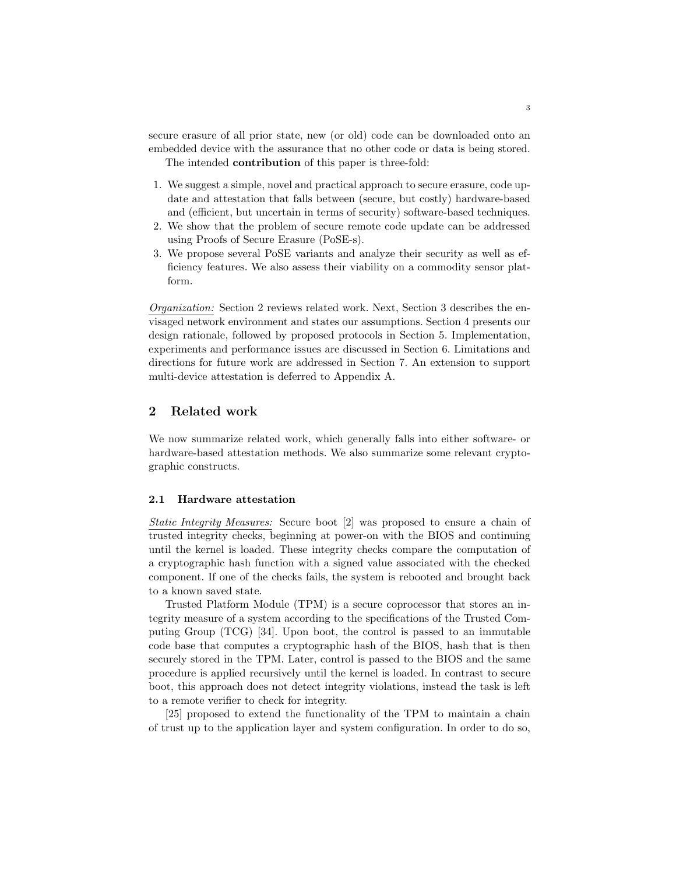secure erasure of all prior state, new (or old) code can be downloaded onto an embedded device with the assurance that no other code or data is being stored. The intended contribution of this paper is three-fold:

- 1. We suggest a simple, novel and practical approach to secure erasure, code update and attestation that falls between (secure, but costly) hardware-based and (efficient, but uncertain in terms of security) software-based techniques.
- 2. We show that the problem of secure remote code update can be addressed using Proofs of Secure Erasure (PoSE-s).
- 3. We propose several PoSE variants and analyze their security as well as efficiency features. We also assess their viability on a commodity sensor platform.

Organization: Section 2 reviews related work. Next, Section 3 describes the envisaged network environment and states our assumptions. Section 4 presents our design rationale, followed by proposed protocols in Section 5. Implementation, experiments and performance issues are discussed in Section 6. Limitations and directions for future work are addressed in Section 7. An extension to support multi-device attestation is deferred to Appendix A.

## 2 Related work

We now summarize related work, which generally falls into either software- or hardware-based attestation methods. We also summarize some relevant cryptographic constructs.

#### 2.1 Hardware attestation

Static Integrity Measures: Secure boot [2] was proposed to ensure a chain of trusted integrity checks, beginning at power-on with the BIOS and continuing until the kernel is loaded. These integrity checks compare the computation of a cryptographic hash function with a signed value associated with the checked component. If one of the checks fails, the system is rebooted and brought back to a known saved state.

Trusted Platform Module (TPM) is a secure coprocessor that stores an integrity measure of a system according to the specifications of the Trusted Computing Group (TCG) [34]. Upon boot, the control is passed to an immutable code base that computes a cryptographic hash of the BIOS, hash that is then securely stored in the TPM. Later, control is passed to the BIOS and the same procedure is applied recursively until the kernel is loaded. In contrast to secure boot, this approach does not detect integrity violations, instead the task is left to a remote verifier to check for integrity.

[25] proposed to extend the functionality of the TPM to maintain a chain of trust up to the application layer and system configuration. In order to do so,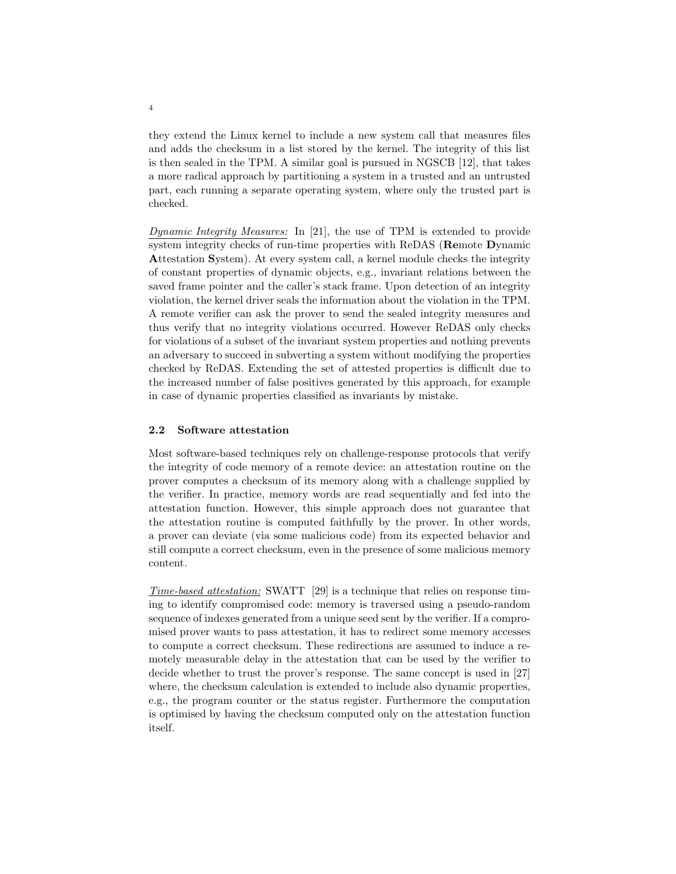they extend the Linux kernel to include a new system call that measures files and adds the checksum in a list stored by the kernel. The integrity of this list is then sealed in the TPM. A similar goal is pursued in NGSCB [12], that takes a more radical approach by partitioning a system in a trusted and an untrusted part, each running a separate operating system, where only the trusted part is checked.

Dynamic Integrity Measures: In [21], the use of TPM is extended to provide system integrity checks of run-time properties with ReDAS (Remote Dynamic Attestation System). At every system call, a kernel module checks the integrity of constant properties of dynamic objects, e.g., invariant relations between the saved frame pointer and the caller's stack frame. Upon detection of an integrity violation, the kernel driver seals the information about the violation in the TPM. A remote verifier can ask the prover to send the sealed integrity measures and thus verify that no integrity violations occurred. However ReDAS only checks for violations of a subset of the invariant system properties and nothing prevents an adversary to succeed in subverting a system without modifying the properties checked by ReDAS. Extending the set of attested properties is difficult due to the increased number of false positives generated by this approach, for example in case of dynamic properties classified as invariants by mistake.

#### 2.2 Software attestation

Most software-based techniques rely on challenge-response protocols that verify the integrity of code memory of a remote device: an attestation routine on the prover computes a checksum of its memory along with a challenge supplied by the verifier. In practice, memory words are read sequentially and fed into the attestation function. However, this simple approach does not guarantee that the attestation routine is computed faithfully by the prover. In other words, a prover can deviate (via some malicious code) from its expected behavior and still compute a correct checksum, even in the presence of some malicious memory content.

Time-based attestation: SWATT [29] is a technique that relies on response timing to identify compromised code: memory is traversed using a pseudo-random sequence of indexes generated from a unique seed sent by the verifier. If a compromised prover wants to pass attestation, it has to redirect some memory accesses to compute a correct checksum. These redirections are assumed to induce a remotely measurable delay in the attestation that can be used by the verifier to decide whether to trust the prover's response. The same concept is used in [27] where, the checksum calculation is extended to include also dynamic properties, e.g., the program counter or the status register. Furthermore the computation is optimised by having the checksum computed only on the attestation function itself.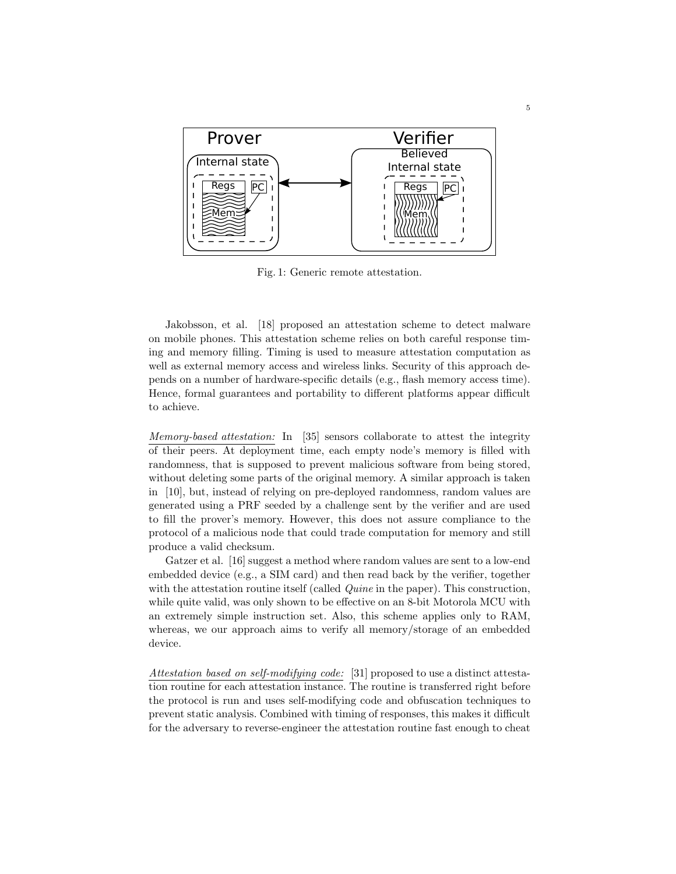

Fig. 1: Generic remote attestation.

Jakobsson, et al. [18] proposed an attestation scheme to detect malware on mobile phones. This attestation scheme relies on both careful response timing and memory filling. Timing is used to measure attestation computation as well as external memory access and wireless links. Security of this approach depends on a number of hardware-specific details (e.g., flash memory access time). Hence, formal guarantees and portability to different platforms appear difficult to achieve.

Memory-based attestation: In [35] sensors collaborate to attest the integrity of their peers. At deployment time, each empty node's memory is filled with randomness, that is supposed to prevent malicious software from being stored, without deleting some parts of the original memory. A similar approach is taken in [10], but, instead of relying on pre-deployed randomness, random values are generated using a PRF seeded by a challenge sent by the verifier and are used to fill the prover's memory. However, this does not assure compliance to the protocol of a malicious node that could trade computation for memory and still produce a valid checksum.

Gatzer et al. [16] suggest a method where random values are sent to a low-end embedded device (e.g., a SIM card) and then read back by the verifier, together with the attestation routine itself (called *Quine* in the paper). This construction, while quite valid, was only shown to be effective on an 8-bit Motorola MCU with an extremely simple instruction set. Also, this scheme applies only to RAM, whereas, we our approach aims to verify all memory/storage of an embedded device.

Attestation based on self-modifying code: [31] proposed to use a distinct attestation routine for each attestation instance. The routine is transferred right before the protocol is run and uses self-modifying code and obfuscation techniques to prevent static analysis. Combined with timing of responses, this makes it difficult for the adversary to reverse-engineer the attestation routine fast enough to cheat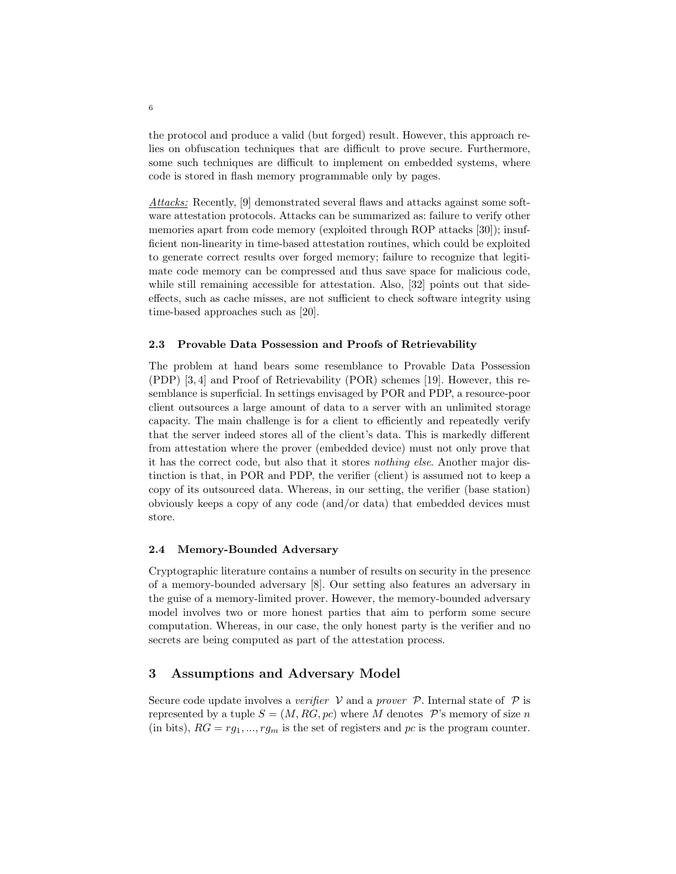the protocol and produce a valid (but forged) result. However, this approach relies on obfuscation techniques that are difficult to prove secure. Furthermore, some such techniques are difficult to implement on embedded systems, where code is stored in flash memory programmable only by pages.

Attacks: Recently, [9] demonstrated several flaws and attacks against some software attestation protocols. Attacks can be summarized as: failure to verify other memories apart from code memory (exploited through ROP attacks [30]); insufficient non-linearity in time-based attestation routines, which could be exploited to generate correct results over forged memory; failure to recognize that legitimate code memory can be compressed and thus save space for malicious code, while still remaining accessible for attestation. Also, [32] points out that sideeffects, such as cache misses, are not sufficient to check software integrity using time-based approaches such as [20].

#### 2.3 Provable Data Possession and Proofs of Retrievability

The problem at hand bears some resemblance to Provable Data Possession (PDP) [3, 4] and Proof of Retrievability (POR) schemes [19]. However, this resemblance is superficial. In settings envisaged by POR and PDP, a resource-poor client outsources a large amount of data to a server with an unlimited storage capacity. The main challenge is for a client to efficiently and repeatedly verify that the server indeed stores all of the client's data. This is markedly different from attestation where the prover (embedded device) must not only prove that it has the correct code, but also that it stores nothing else. Another major distinction is that, in POR and PDP, the verifier (client) is assumed not to keep a copy of its outsourced data. Whereas, in our setting, the verifier (base station) obviously keeps a copy of any code (and/or data) that embedded devices must store.

#### 2.4 Memory-Bounded Adversary

Cryptographic literature contains a number of results on security in the presence of a memory-bounded adversary [8]. Our setting also features an adversary in the guise of a memory-limited prover. However, the memory-bounded adversary model involves two or more honest parties that aim to perform some secure computation. Whereas, in our case, the only honest party is the verifier and no secrets are being computed as part of the attestation process.

## 3 Assumptions and Adversary Model

Secure code update involves a *verifier*  $V$  and a *prover*  $P$ . Internal state of  $P$  is represented by a tuple  $S = (M, RG, pc)$  where M denotes P's memory of size n (in bits),  $RG = rg_1, ..., rg_m$  is the set of registers and pc is the program counter.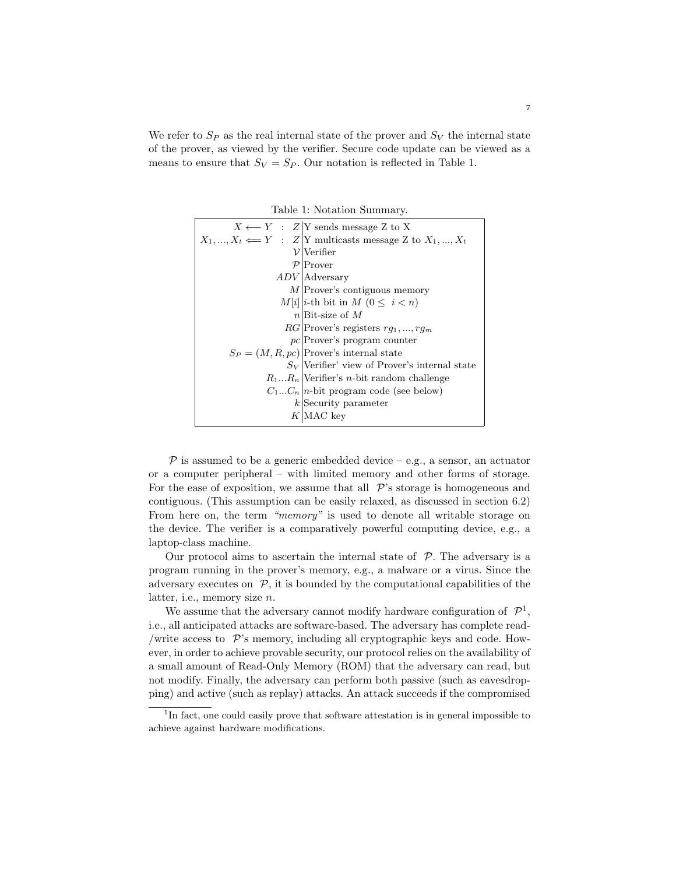We refer to  $S_P$  as the real internal state of the prover and  $S_V$  the internal state of the prover, as viewed by the verifier. Secure code update can be viewed as a means to ensure that  $S_V = S_P$ . Our notation is reflected in Table 1.

| $\ldots$ |                                                                          |  |  |  |
|----------|--------------------------------------------------------------------------|--|--|--|
|          | $X \longleftarrow Y$ : $Z Y$ sends message Z to X                        |  |  |  |
|          | $X_1, , X_t \Longleftarrow Y : Z Y$ multicasts message Z to $X_1, , X_t$ |  |  |  |
|          | $V$  Verifier                                                            |  |  |  |
|          | $P$ Prover                                                               |  |  |  |
|          | $ADV$ Adversary                                                          |  |  |  |
|          | $M$  Prover's contiguous memory                                          |  |  |  |
|          | $M[i] i$ -th bit in $M$ $(0 \leq i \leq n)$                              |  |  |  |
|          | $n\vert$ Bit-size of M                                                   |  |  |  |
|          | $RG Prover's registers r g_1, , r g_m$                                   |  |  |  |
|          | $pc$ Prover's program counter                                            |  |  |  |
|          | $S_P = (M, R, pc)$ Prover's internal state                               |  |  |  |
|          | $S_V$ Verifier' view of Prover's internal state                          |  |  |  |
|          | $R_1R_n$ Verifier's <i>n</i> -bit random challenge                       |  |  |  |
|          | $C_1C_n n\text{-bit program code (see below)}$                           |  |  |  |
|          | $k$  Security parameter                                                  |  |  |  |
|          | $K$  MAC key                                                             |  |  |  |
|          |                                                                          |  |  |  |

Table 1: Notation Summary.

 $P$  is assumed to be a generic embedded device – e.g., a sensor, an actuator or a computer peripheral – with limited memory and other forms of storage. For the ease of exposition, we assume that all  $\mathcal{P}$ 's storage is homogeneous and contiguous. (This assumption can be easily relaxed, as discussed in section 6.2) From here on, the term "memory" is used to denote all writable storage on the device. The verifier is a comparatively powerful computing device, e.g., a laptop-class machine.

Our protocol aims to ascertain the internal state of  $P$ . The adversary is a program running in the prover's memory, e.g., a malware or a virus. Since the adversary executes on  $P$ , it is bounded by the computational capabilities of the latter, i.e., memory size n.

We assume that the adversary cannot modify hardware configuration of  $\mathcal{P}^1$ , i.e., all anticipated attacks are software-based. The adversary has complete read- /write access to  $\mathcal{P}$ 's memory, including all cryptographic keys and code. However, in order to achieve provable security, our protocol relies on the availability of a small amount of Read-Only Memory (ROM) that the adversary can read, but not modify. Finally, the adversary can perform both passive (such as eavesdropping) and active (such as replay) attacks. An attack succeeds if the compromised

<sup>&</sup>lt;sup>1</sup>In fact, one could easily prove that software attestation is in general impossible to achieve against hardware modifications.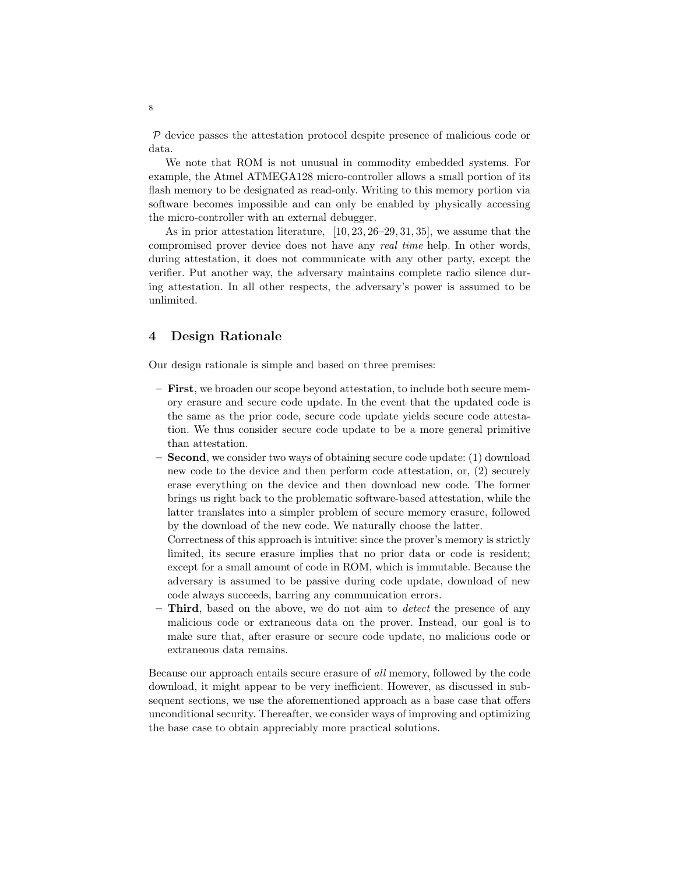P device passes the attestation protocol despite presence of malicious code or data.

We note that ROM is not unusual in commodity embedded systems. For example, the Atmel ATMEGA128 micro-controller allows a small portion of its flash memory to be designated as read-only. Writing to this memory portion via software becomes impossible and can only be enabled by physically accessing the micro-controller with an external debugger.

As in prior attestation literature, [10, 23, 26–29, 31, 35], we assume that the compromised prover device does not have any real time help. In other words, during attestation, it does not communicate with any other party, except the verifier. Put another way, the adversary maintains complete radio silence during attestation. In all other respects, the adversary's power is assumed to be unlimited.

## 4 Design Rationale

Our design rationale is simple and based on three premises:

- First, we broaden our scope beyond attestation, to include both secure memory erasure and secure code update. In the event that the updated code is the same as the prior code, secure code update yields secure code attestation. We thus consider secure code update to be a more general primitive than attestation.
- Second, we consider two ways of obtaining secure code update: (1) download new code to the device and then perform code attestation, or, (2) securely erase everything on the device and then download new code. The former brings us right back to the problematic software-based attestation, while the latter translates into a simpler problem of secure memory erasure, followed by the download of the new code. We naturally choose the latter.

Correctness of this approach is intuitive: since the prover's memory is strictly limited, its secure erasure implies that no prior data or code is resident; except for a small amount of code in ROM, which is immutable. Because the adversary is assumed to be passive during code update, download of new code always succeeds, barring any communication errors.

 $-$  Third, based on the above, we do not aim to *detect* the presence of any malicious code or extraneous data on the prover. Instead, our goal is to make sure that, after erasure or secure code update, no malicious code or extraneous data remains.

Because our approach entails secure erasure of all memory, followed by the code download, it might appear to be very inefficient. However, as discussed in subsequent sections, we use the aforementioned approach as a base case that offers unconditional security. Thereafter, we consider ways of improving and optimizing the base case to obtain appreciably more practical solutions.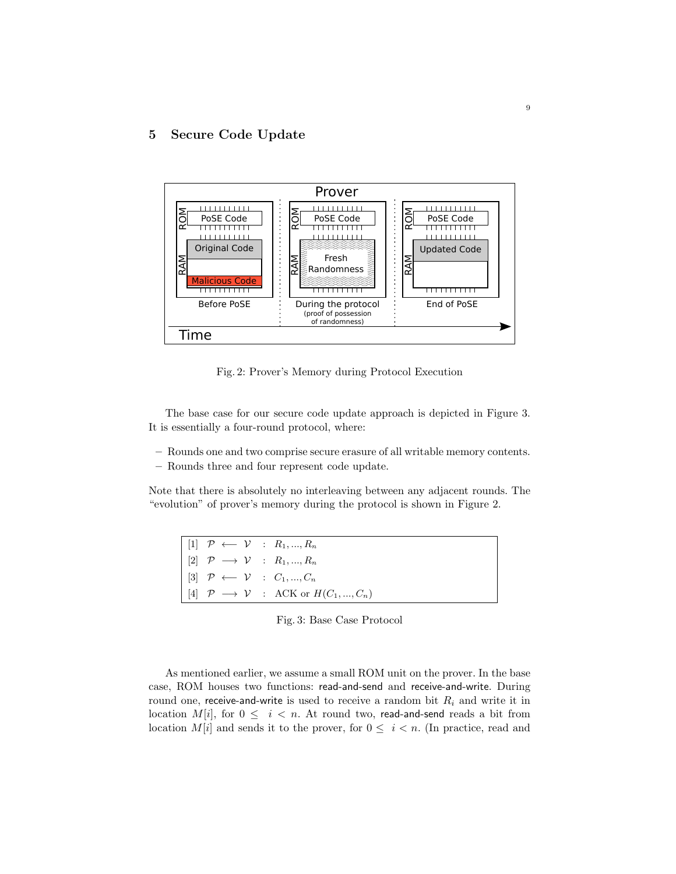## 5 Secure Code Update



Fig. 2: Prover's Memory during Protocol Execution

The base case for our secure code update approach is depicted in Figure 3. It is essentially a four-round protocol, where:

- Rounds one and two comprise secure erasure of all writable memory contents.
- Rounds three and four represent code update.

Note that there is absolutely no interleaving between any adjacent rounds. The "evolution" of prover's memory during the protocol is shown in Figure 2.

| $\begin{array}{rcl} \n\begin{array}{rcl} \n\end{array} \n\begin{array}{rcl} \n\end{array} \n\begin{array}{rcl} \n\end{array} \n\rightarrow \n\begin{array}{rcl} \n\end{array} \n\rightarrow \n\begin{array}{rcl} \n\end{array} \n\rightarrow \n\begin{array}{rcl} \n\end{array} \n\rightarrow \n\begin{array}{rcl} \n\end{array} \n\rightarrow \n\begin{array}{rcl} \n\end{array} \n\rightarrow \n\begin{array}{rcl} \n\end{array} \n\rightarrow \n\begin{array}{rcl} \n\end{array} \n\rightarrow \n\begin{array}{rcl}$ |  |                                                                                                                                                               |
|-------------------------------------------------------------------------------------------------------------------------------------------------------------------------------------------------------------------------------------------------------------------------------------------------------------------------------------------------------------------------------------------------------------------------------------------------------------------------------------------------------------------------|--|---------------------------------------------------------------------------------------------------------------------------------------------------------------|
| $\begin{array}{rcl} \hline \end{array} \begin{array}{rcl} \hline \end{array} \begin{array}{rcl} \mathcal{P} & \longrightarrow \mathcal{V} & : & R_1, , R_n \end{array}$                                                                                                                                                                                                                                                                                                                                                 |  |                                                                                                                                                               |
| $\begin{array}{r} \begin{array}{r} \end{array} \begin{array}{r} 3 \end{array} \begin{array}{r} \mathcal{P} \end{array} \leftarrow \mathcal{V} \begin{array} \therefore C_1, , C_n \end{array}$                                                                                                                                                                                                                                                                                                                          |  |                                                                                                                                                               |
|                                                                                                                                                                                                                                                                                                                                                                                                                                                                                                                         |  | $\begin{array}{cccc} \begin{bmatrix} 4 \end{bmatrix} & \mathcal{P} & \longrightarrow & \mathcal{V} & \colon \text{ACK} \text{ or } H(C_1, , C_n) \end{array}$ |

Fig. 3: Base Case Protocol

As mentioned earlier, we assume a small ROM unit on the prover. In the base case, ROM houses two functions: read-and-send and receive-and-write. During round one, receive-and-write is used to receive a random bit  $R_i$  and write it in location  $M[i]$ , for  $0 \le i < n$ . At round two, read-and-send reads a bit from location  $M[i]$  and sends it to the prover, for  $0 \le i \le n$ . (In practice, read and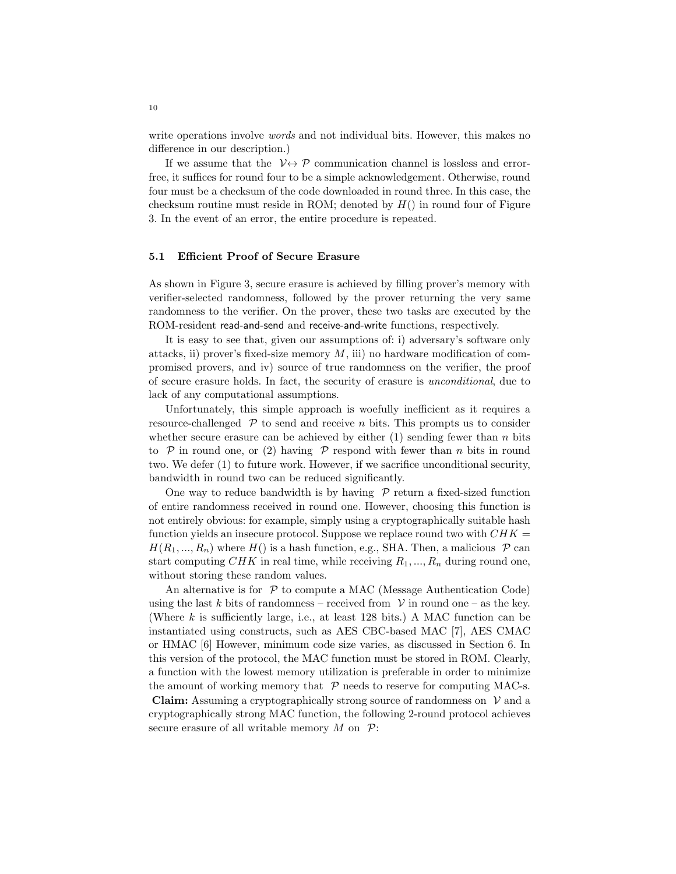write operations involve *words* and not individual bits. However, this makes no difference in our description.)

If we assume that the  $V \leftrightarrow \mathcal{P}$  communication channel is lossless and errorfree, it suffices for round four to be a simple acknowledgement. Otherwise, round four must be a checksum of the code downloaded in round three. In this case, the checksum routine must reside in ROM; denoted by  $H()$  in round four of Figure 3. In the event of an error, the entire procedure is repeated.

#### 5.1 Efficient Proof of Secure Erasure

As shown in Figure 3, secure erasure is achieved by filling prover's memory with verifier-selected randomness, followed by the prover returning the very same randomness to the verifier. On the prover, these two tasks are executed by the ROM-resident read-and-send and receive-and-write functions, respectively.

It is easy to see that, given our assumptions of: i) adversary's software only attacks, ii) prover's fixed-size memory  $M$ , iii) no hardware modification of compromised provers, and iv) source of true randomness on the verifier, the proof of secure erasure holds. In fact, the security of erasure is unconditional, due to lack of any computational assumptions.

Unfortunately, this simple approach is woefully inefficient as it requires a resource-challenged  $P$  to send and receive n bits. This prompts us to consider whether secure erasure can be achieved by either  $(1)$  sending fewer than n bits to  $P$  in round one, or (2) having P respond with fewer than n bits in round two. We defer (1) to future work. However, if we sacrifice unconditional security, bandwidth in round two can be reduced significantly.

One way to reduce bandwidth is by having  $P$  return a fixed-sized function of entire randomness received in round one. However, choosing this function is not entirely obvious: for example, simply using a cryptographically suitable hash function yields an insecure protocol. Suppose we replace round two with  $CHK =$  $H(R_1, ..., R_n)$  where  $H()$  is a hash function, e.g., SHA. Then, a malicious  $P$  can start computing  $CHK$  in real time, while receiving  $R_1, ..., R_n$  during round one, without storing these random values.

An alternative is for  $P$  to compute a MAC (Message Authentication Code) using the last k bits of randomness – received from  $V$  in round one – as the key. (Where  $k$  is sufficiently large, i.e., at least 128 bits.) A MAC function can be instantiated using constructs, such as AES CBC-based MAC [7], AES CMAC or HMAC [6] However, minimum code size varies, as discussed in Section 6. In this version of the protocol, the MAC function must be stored in ROM. Clearly, a function with the lowest memory utilization is preferable in order to minimize the amount of working memory that  $P$  needs to reserve for computing MAC-s. **Claim:** Assuming a cryptographically strong source of randomness on  $V$  and a cryptographically strong MAC function, the following 2-round protocol achieves secure erasure of all writable memory  $M$  on  $\mathcal{P}$ :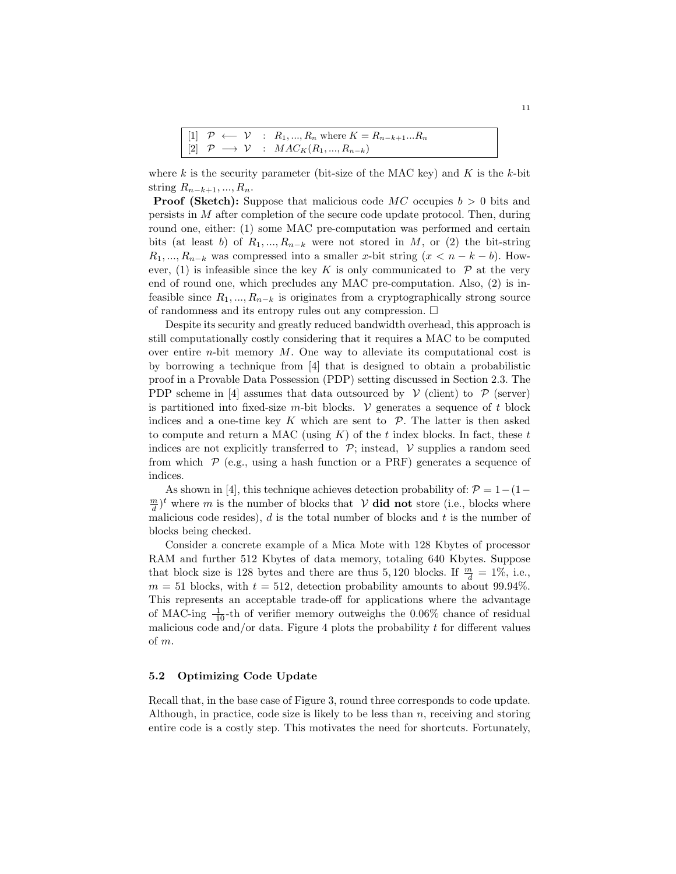|  | $[1]$ $\mathcal{P} \leftarrow \mathcal{V}$ : $R_1, , R_n$ where $K = R_{n-k+1}R_n$ |
|--|------------------------------------------------------------------------------------|
|  | $[2]$ $\mathcal{P} \longrightarrow \mathcal{V}$ : $MAC_K(R_1, , R_{n-k})$          |

where k is the security parameter (bit-size of the MAC key) and K is the k-bit string  $R_{n-k+1},..., R_n$ .

**Proof (Sketch):** Suppose that malicious code  $MC$  occupies  $b > 0$  bits and persists in M after completion of the secure code update protocol. Then, during round one, either: (1) some MAC pre-computation was performed and certain bits (at least b) of  $R_1, ..., R_{n-k}$  were not stored in M, or (2) the bit-string  $R_1, ..., R_{n-k}$  was compressed into a smaller x-bit string  $(x < n-k-b)$ . However, (1) is infeasible since the key K is only communicated to  $P$  at the very end of round one, which precludes any MAC pre-computation. Also, (2) is infeasible since  $R_1, ..., R_{n-k}$  is originates from a cryptographically strong source of randomness and its entropy rules out any compression.  $\Box$ 

Despite its security and greatly reduced bandwidth overhead, this approach is still computationally costly considering that it requires a MAC to be computed over entire *n*-bit memory  $M$ . One way to alleviate its computational cost is by borrowing a technique from [4] that is designed to obtain a probabilistic proof in a Provable Data Possession (PDP) setting discussed in Section 2.3. The PDP scheme in [4] assumes that data outsourced by  $V$  (client) to  $P$  (server) is partitioned into fixed-size m-bit blocks.  $\mathcal V$  generates a sequence of t block indices and a one-time key K which are sent to  $\mathcal{P}$ . The latter is then asked to compute and return a MAC (using  $K$ ) of the t index blocks. In fact, these t indices are not explicitly transferred to  $P$ ; instead,  $V$  supplies a random seed from which  $P$  (e.g., using a hash function or a PRF) generates a sequence of indices.

As shown in [4], this technique achieves detection probability of:  $\mathcal{P} = 1-(1-\mathcal{P})$  $\frac{m}{d}$ <sup>t</sup> where m is the number of blocks that  $V$  did not store (i.e., blocks where malicious code resides), d is the total number of blocks and t is the number of blocks being checked.

Consider a concrete example of a Mica Mote with 128 Kbytes of processor RAM and further 512 Kbytes of data memory, totaling 640 Kbytes. Suppose that block size is 128 bytes and there are thus 5, 120 blocks. If  $\frac{m}{d} = 1\%$ , i.e.,  $m = 51$  blocks, with  $t = 512$ , detection probability amounts to about 99.94%. This represents an acceptable trade-off for applications where the advantage of MAC-ing  $\frac{1}{10}$ -th of verifier memory outweighs the 0.06% chance of residual malicious code and/or data. Figure 4 plots the probability  $t$  for different values of m.

## 5.2 Optimizing Code Update

Recall that, in the base case of Figure 3, round three corresponds to code update. Although, in practice, code size is likely to be less than  $n$ , receiving and storing entire code is a costly step. This motivates the need for shortcuts. Fortunately,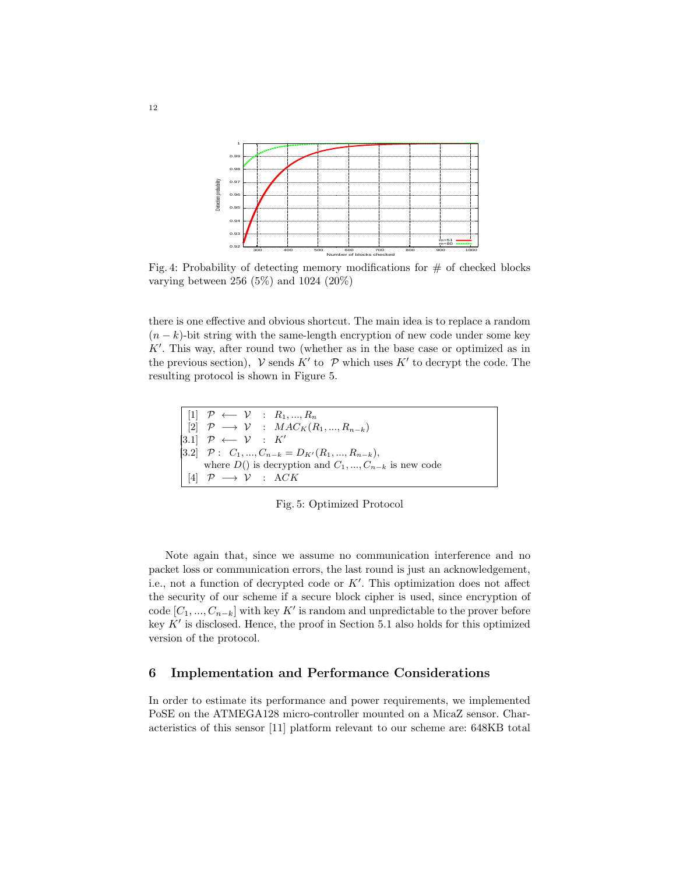

Fig. 4: Probability of detecting memory modifications for  $#$  of checked blocks varying between 256 (5%) and 1024 (20%)

there is one effective and obvious shortcut. The main idea is to replace a random  $(n - k)$ -bit string with the same-length encryption of new code under some key  $K'$ . This way, after round two (whether as in the base case or optimized as in the previous section),  $V$  sends  $K'$  to  $P$  which uses  $K'$  to decrypt the code. The resulting protocol is shown in Figure 5.

$$
\begin{array}{ll}\n[1] \mathcal{P} \leftarrow \mathcal{V} : R_1, ..., R_n \\
[2] \mathcal{P} \rightarrow \mathcal{V} : MAC_K(R_1, ..., R_{n-k}) \\
[3.1] \mathcal{P} \leftarrow \mathcal{V} : K' \\
[3.2] \mathcal{P} : C_1, ..., C_{n-k} = D_{K'}(R_1, ..., R_{n-k}), \\
\text{where } D() \text{ is decryption and } C_1, ..., C_{n-k} \text{ is new code} \\
[4] \mathcal{P} \rightarrow \mathcal{V} : ACK\n\end{array}
$$

Fig. 5: Optimized Protocol

Note again that, since we assume no communication interference and no packet loss or communication errors, the last round is just an acknowledgement, i.e., not a function of decrypted code or  $K'$ . This optimization does not affect the security of our scheme if a secure block cipher is used, since encryption of code  $[C_1, ..., C_{n-k}]$  with key K' is random and unpredictable to the prover before key  $K'$  is disclosed. Hence, the proof in Section 5.1 also holds for this optimized version of the protocol.

## 6 Implementation and Performance Considerations

In order to estimate its performance and power requirements, we implemented PoSE on the ATMEGA128 micro-controller mounted on a MicaZ sensor. Characteristics of this sensor [11] platform relevant to our scheme are: 648KB total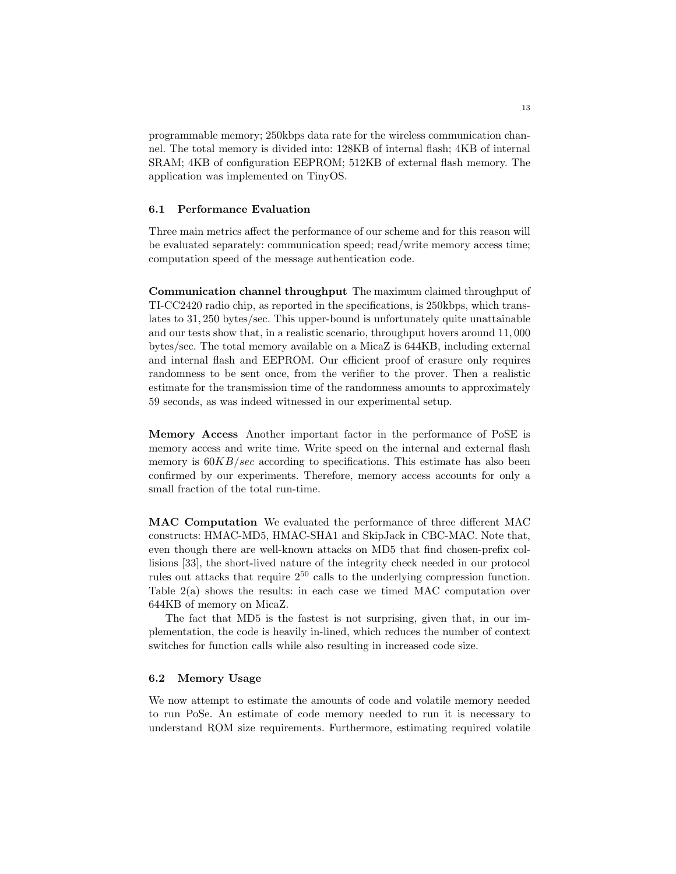programmable memory; 250kbps data rate for the wireless communication channel. The total memory is divided into: 128KB of internal flash; 4KB of internal SRAM; 4KB of configuration EEPROM; 512KB of external flash memory. The application was implemented on TinyOS.

#### 6.1 Performance Evaluation

Three main metrics affect the performance of our scheme and for this reason will be evaluated separately: communication speed; read/write memory access time; computation speed of the message authentication code.

Communication channel throughput The maximum claimed throughput of TI-CC2420 radio chip, as reported in the specifications, is 250kbps, which translates to 31, 250 bytes/sec. This upper-bound is unfortunately quite unattainable and our tests show that, in a realistic scenario, throughput hovers around 11, 000 bytes/sec. The total memory available on a MicaZ is 644KB, including external and internal flash and EEPROM. Our efficient proof of erasure only requires randomness to be sent once, from the verifier to the prover. Then a realistic estimate for the transmission time of the randomness amounts to approximately 59 seconds, as was indeed witnessed in our experimental setup.

Memory Access Another important factor in the performance of PoSE is memory access and write time. Write speed on the internal and external flash memory is  $60KB/sec$  according to specifications. This estimate has also been confirmed by our experiments. Therefore, memory access accounts for only a small fraction of the total run-time.

MAC Computation We evaluated the performance of three different MAC constructs: HMAC-MD5, HMAC-SHA1 and SkipJack in CBC-MAC. Note that, even though there are well-known attacks on MD5 that find chosen-prefix collisions [33], the short-lived nature of the integrity check needed in our protocol rules out attacks that require  $2^{50}$  calls to the underlying compression function. Table 2(a) shows the results: in each case we timed MAC computation over 644KB of memory on MicaZ.

The fact that MD5 is the fastest is not surprising, given that, in our implementation, the code is heavily in-lined, which reduces the number of context switches for function calls while also resulting in increased code size.

## 6.2 Memory Usage

We now attempt to estimate the amounts of code and volatile memory needed to run PoSe. An estimate of code memory needed to run it is necessary to understand ROM size requirements. Furthermore, estimating required volatile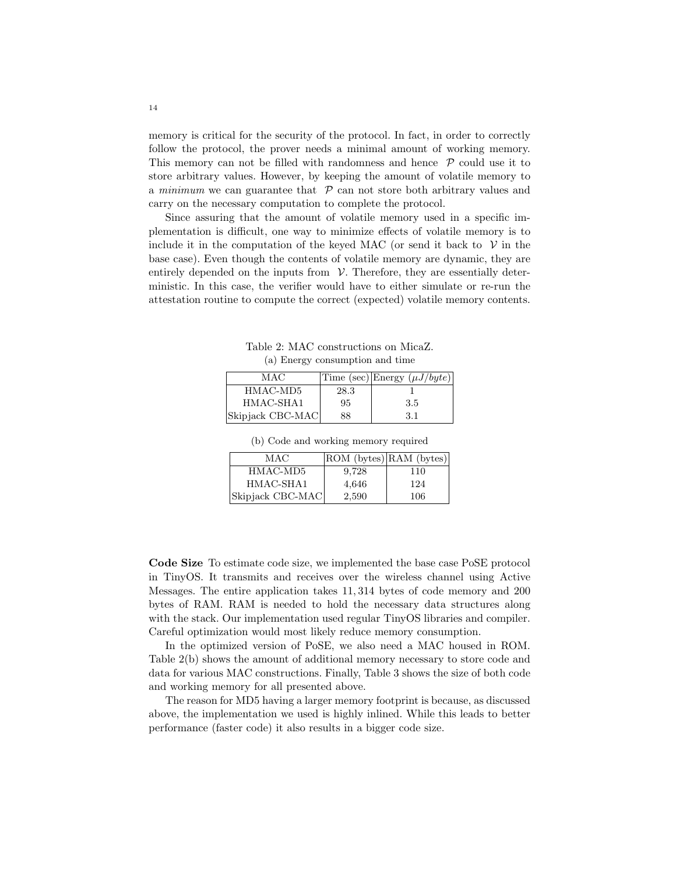memory is critical for the security of the protocol. In fact, in order to correctly follow the protocol, the prover needs a minimal amount of working memory. This memory can not be filled with randomness and hence  $P$  could use it to store arbitrary values. However, by keeping the amount of volatile memory to a minimum we can guarantee that  $P$  can not store both arbitrary values and carry on the necessary computation to complete the protocol.

Since assuring that the amount of volatile memory used in a specific implementation is difficult, one way to minimize effects of volatile memory is to include it in the computation of the keyed MAC (or send it back to  $V$  in the base case). Even though the contents of volatile memory are dynamic, they are entirely depended on the inputs from  $V$ . Therefore, they are essentially deterministic. In this case, the verifier would have to either simulate or re-run the attestation routine to compute the correct (expected) volatile memory contents.

Table 2: MAC constructions on MicaZ. (a) Energy consumption and time

| MAC              |      | Time (sec) Energy $(\mu J/byte)$ |
|------------------|------|----------------------------------|
| HMAC-MD5         | 28.3 |                                  |
| HMAC-SHA1        | 95.  | 3.5                              |
| Skipjack CBC-MAC | 88   | 3.1                              |

(b) Code and working memory required

| MAC              | ROM (bytes) RAM (bytes) |     |
|------------------|-------------------------|-----|
| HMAC-MD5         | 9,728                   | 110 |
| HMAC-SHA1        | 4,646                   | 124 |
| Skipjack CBC-MAC | 2,590                   | 106 |

Code Size To estimate code size, we implemented the base case PoSE protocol in TinyOS. It transmits and receives over the wireless channel using Active Messages. The entire application takes 11, 314 bytes of code memory and 200 bytes of RAM. RAM is needed to hold the necessary data structures along with the stack. Our implementation used regular TinyOS libraries and compiler. Careful optimization would most likely reduce memory consumption.

In the optimized version of PoSE, we also need a MAC housed in ROM. Table 2(b) shows the amount of additional memory necessary to store code and data for various MAC constructions. Finally, Table 3 shows the size of both code and working memory for all presented above.

The reason for MD5 having a larger memory footprint is because, as discussed above, the implementation we used is highly inlined. While this leads to better performance (faster code) it also results in a bigger code size.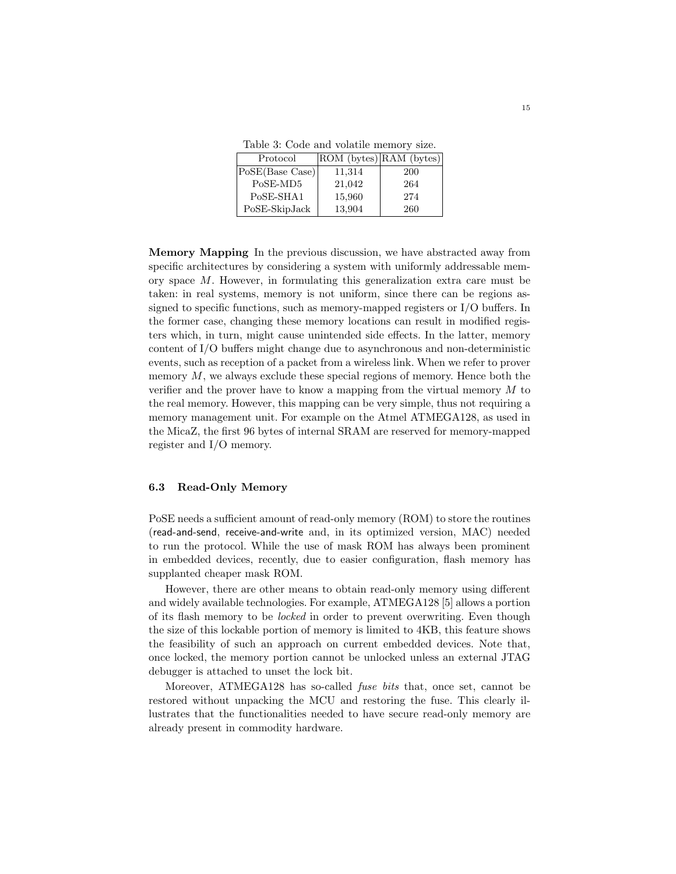Table 3: Code and volatile memory size.

| Protocol        | ROM (bytes) RAM (bytes) |     |
|-----------------|-------------------------|-----|
| PoSE(Base Case) | 11,314                  | 200 |
| PoSE-MD5        | 21,042                  | 264 |
| PoSE-SHA1       | 15,960                  | 274 |
| PoSE-SkipJack   | 13,904                  | 260 |

Memory Mapping In the previous discussion, we have abstracted away from specific architectures by considering a system with uniformly addressable memory space M. However, in formulating this generalization extra care must be taken: in real systems, memory is not uniform, since there can be regions assigned to specific functions, such as memory-mapped registers or I/O buffers. In the former case, changing these memory locations can result in modified registers which, in turn, might cause unintended side effects. In the latter, memory content of I/O buffers might change due to asynchronous and non-deterministic events, such as reception of a packet from a wireless link. When we refer to prover memory  $M$ , we always exclude these special regions of memory. Hence both the verifier and the prover have to know a mapping from the virtual memory M to the real memory. However, this mapping can be very simple, thus not requiring a memory management unit. For example on the Atmel ATMEGA128, as used in the MicaZ, the first 96 bytes of internal SRAM are reserved for memory-mapped register and I/O memory.

#### 6.3 Read-Only Memory

PoSE needs a sufficient amount of read-only memory (ROM) to store the routines (read-and-send, receive-and-write and, in its optimized version, MAC) needed to run the protocol. While the use of mask ROM has always been prominent in embedded devices, recently, due to easier configuration, flash memory has supplanted cheaper mask ROM.

However, there are other means to obtain read-only memory using different and widely available technologies. For example, ATMEGA128 [5] allows a portion of its flash memory to be locked in order to prevent overwriting. Even though the size of this lockable portion of memory is limited to 4KB, this feature shows the feasibility of such an approach on current embedded devices. Note that, once locked, the memory portion cannot be unlocked unless an external JTAG debugger is attached to unset the lock bit.

Moreover, ATMEGA128 has so-called *fuse bits* that, once set, cannot be restored without unpacking the MCU and restoring the fuse. This clearly illustrates that the functionalities needed to have secure read-only memory are already present in commodity hardware.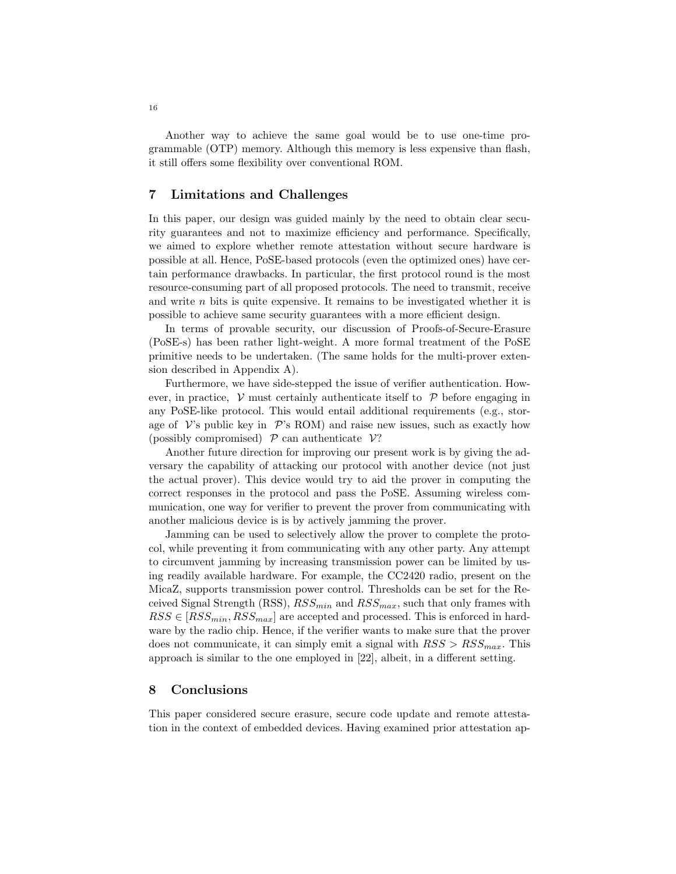Another way to achieve the same goal would be to use one-time programmable (OTP) memory. Although this memory is less expensive than flash, it still offers some flexibility over conventional ROM.

## 7 Limitations and Challenges

In this paper, our design was guided mainly by the need to obtain clear security guarantees and not to maximize efficiency and performance. Specifically, we aimed to explore whether remote attestation without secure hardware is possible at all. Hence, PoSE-based protocols (even the optimized ones) have certain performance drawbacks. In particular, the first protocol round is the most resource-consuming part of all proposed protocols. The need to transmit, receive and write  $n$  bits is quite expensive. It remains to be investigated whether it is possible to achieve same security guarantees with a more efficient design.

In terms of provable security, our discussion of Proofs-of-Secure-Erasure (PoSE-s) has been rather light-weight. A more formal treatment of the PoSE primitive needs to be undertaken. (The same holds for the multi-prover extension described in Appendix A).

Furthermore, we have side-stepped the issue of verifier authentication. However, in practice,  $V$  must certainly authenticate itself to  $P$  before engaging in any PoSE-like protocol. This would entail additional requirements (e.g., storage of  $V$ 's public key in  $\mathcal{P}$ 's ROM) and raise new issues, such as exactly how (possibly compromised)  $\mathcal P$  can authenticate  $\mathcal V$ ?

Another future direction for improving our present work is by giving the adversary the capability of attacking our protocol with another device (not just the actual prover). This device would try to aid the prover in computing the correct responses in the protocol and pass the PoSE. Assuming wireless communication, one way for verifier to prevent the prover from communicating with another malicious device is is by actively jamming the prover.

Jamming can be used to selectively allow the prover to complete the protocol, while preventing it from communicating with any other party. Any attempt to circumvent jamming by increasing transmission power can be limited by using readily available hardware. For example, the CC2420 radio, present on the MicaZ, supports transmission power control. Thresholds can be set for the Received Signal Strength (RSS),  $RSS_{min}$  and  $RSS_{max}$ , such that only frames with  $RSS \in [RSS_{min}, RSS_{max}]$  are accepted and processed. This is enforced in hardware by the radio chip. Hence, if the verifier wants to make sure that the prover does not communicate, it can simply emit a signal with  $RSS > RSS_{max}$ . This approach is similar to the one employed in [22], albeit, in a different setting.

## 8 Conclusions

This paper considered secure erasure, secure code update and remote attestation in the context of embedded devices. Having examined prior attestation ap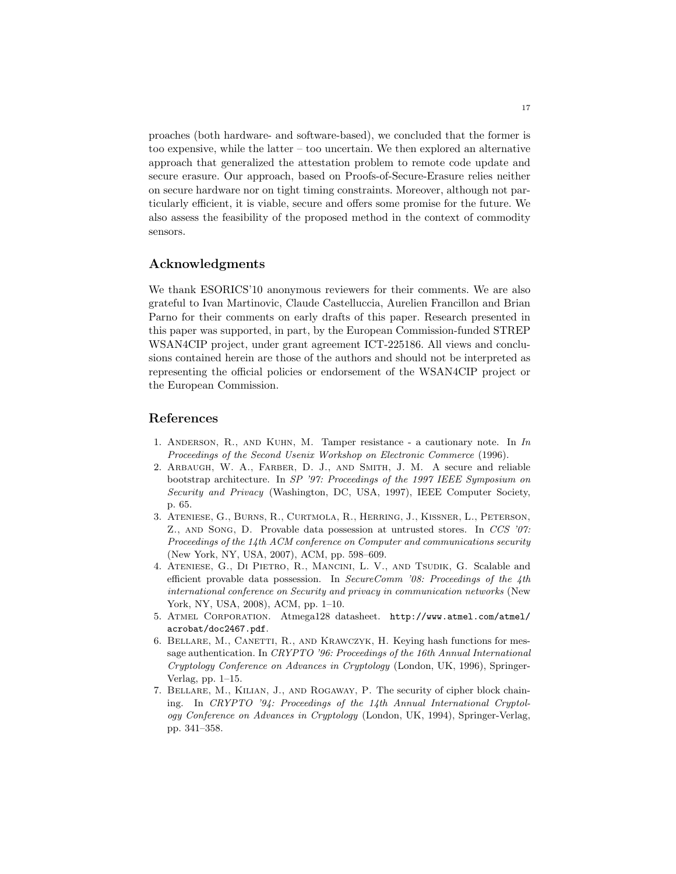proaches (both hardware- and software-based), we concluded that the former is too expensive, while the latter – too uncertain. We then explored an alternative approach that generalized the attestation problem to remote code update and secure erasure. Our approach, based on Proofs-of-Secure-Erasure relies neither on secure hardware nor on tight timing constraints. Moreover, although not particularly efficient, it is viable, secure and offers some promise for the future. We also assess the feasibility of the proposed method in the context of commodity sensors.

## Acknowledgments

We thank ESORICS'10 anonymous reviewers for their comments. We are also grateful to Ivan Martinovic, Claude Castelluccia, Aurelien Francillon and Brian Parno for their comments on early drafts of this paper. Research presented in this paper was supported, in part, by the European Commission-funded STREP WSAN4CIP project, under grant agreement ICT-225186. All views and conclusions contained herein are those of the authors and should not be interpreted as representing the official policies or endorsement of the WSAN4CIP project or the European Commission.

## References

- 1. Anderson, R., and Kuhn, M. Tamper resistance a cautionary note. In In Proceedings of the Second Usenix Workshop on Electronic Commerce (1996).
- 2. Arbaugh, W. A., Farber, D. J., and Smith, J. M. A secure and reliable bootstrap architecture. In SP '97: Proceedings of the 1997 IEEE Symposium on Security and Privacy (Washington, DC, USA, 1997), IEEE Computer Society, p. 65.
- 3. Ateniese, G., Burns, R., Curtmola, R., Herring, J., Kissner, L., Peterson, Z., and Song, D. Provable data possession at untrusted stores. In CCS '07: Proceedings of the 14th ACM conference on Computer and communications security (New York, NY, USA, 2007), ACM, pp. 598–609.
- 4. Ateniese, G., Di Pietro, R., Mancini, L. V., and Tsudik, G. Scalable and efficient provable data possession. In  $SecureComm$  '08: Proceedings of the 4th international conference on Security and privacy in communication networks (New York, NY, USA, 2008), ACM, pp. 1–10.
- 5. Atmel Corporation. Atmega128 datasheet. http://www.atmel.com/atmel/ acrobat/doc2467.pdf.
- 6. Bellare, M., Canetti, R., and Krawczyk, H. Keying hash functions for message authentication. In CRYPTO '96: Proceedings of the 16th Annual International Cryptology Conference on Advances in Cryptology (London, UK, 1996), Springer-Verlag, pp. 1–15.
- 7. Bellare, M., Kilian, J., and Rogaway, P. The security of cipher block chaining. In CRYPTO '94: Proceedings of the 14th Annual International Cryptology Conference on Advances in Cryptology (London, UK, 1994), Springer-Verlag, pp. 341–358.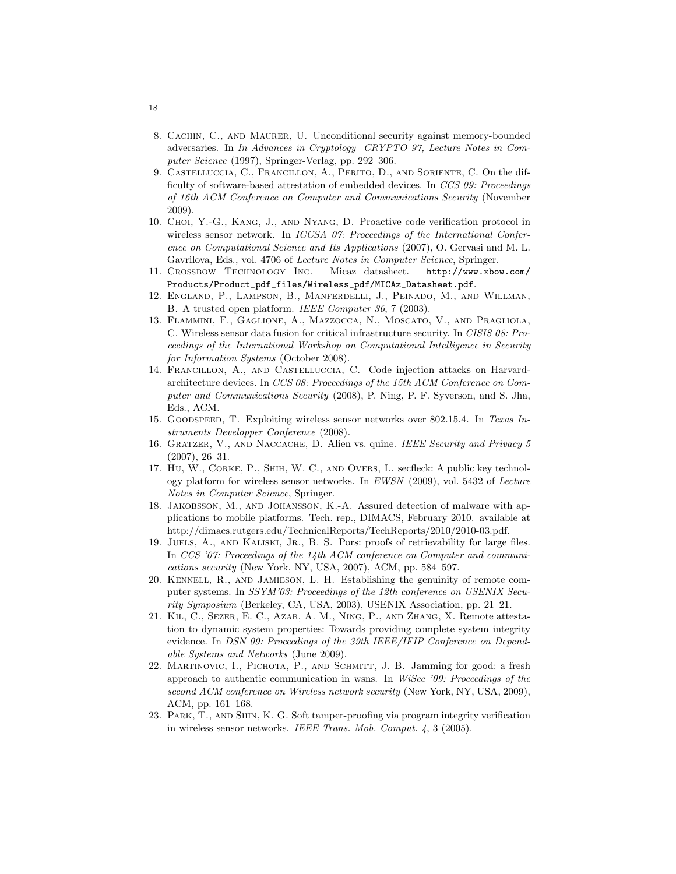- 8. Cachin, C., and Maurer, U. Unconditional security against memory-bounded adversaries. In In Advances in Cryptology CRYPTO 97, Lecture Notes in Computer Science (1997), Springer-Verlag, pp. 292–306.
- 9. Castelluccia, C., Francillon, A., Perito, D., and Soriente, C. On the difficulty of software-based attestation of embedded devices. In CCS 09: Proceedings of 16th ACM Conference on Computer and Communications Security (November 2009).
- 10. Choi, Y.-G., Kang, J., and Nyang, D. Proactive code verification protocol in wireless sensor network. In ICCSA 07: Proceedings of the International Conference on Computational Science and Its Applications (2007), O. Gervasi and M. L. Gavrilova, Eds., vol. 4706 of Lecture Notes in Computer Science, Springer.
- 11. Crossbow Technology Inc. Micaz datasheet. http://www.xbow.com/ Products/Product\_pdf\_files/Wireless\_pdf/MICAz\_Datasheet.pdf.
- 12. England, P., Lampson, B., Manferdelli, J., Peinado, M., and Willman, B. A trusted open platform. IEEE Computer 36, 7 (2003).
- 13. Flammini, F., Gaglione, A., Mazzocca, N., Moscato, V., and Pragliola, C. Wireless sensor data fusion for critical infrastructure security. In CISIS 08: Proceedings of the International Workshop on Computational Intelligence in Security for Information Systems (October 2008).
- 14. Francillon, A., and Castelluccia, C. Code injection attacks on Harvardarchitecture devices. In CCS 08: Proceedings of the 15th ACM Conference on Computer and Communications Security (2008), P. Ning, P. F. Syverson, and S. Jha, Eds., ACM.
- 15. Goodspeed, T. Exploiting wireless sensor networks over 802.15.4. In Texas Instruments Developper Conference (2008).
- 16. Gratzer, V., and Naccache, D. Alien vs. quine. IEEE Security and Privacy 5 (2007), 26–31.
- 17. Hu, W., Corke, P., Shih, W. C., and Overs, L. secfleck: A public key technology platform for wireless sensor networks. In EWSN (2009), vol. 5432 of Lecture Notes in Computer Science, Springer.
- 18. Jakobsson, M., and Johansson, K.-A. Assured detection of malware with applications to mobile platforms. Tech. rep., DIMACS, February 2010. available at http://dimacs.rutgers.edu/TechnicalReports/TechReports/2010/2010-03.pdf.
- 19. Juels, A., and Kaliski, Jr., B. S. Pors: proofs of retrievability for large files. In CCS '07: Proceedings of the 14th ACM conference on Computer and communications security (New York, NY, USA, 2007), ACM, pp. 584–597.
- 20. Kennell, R., and Jamieson, L. H. Establishing the genuinity of remote computer systems. In SSYM'03: Proceedings of the 12th conference on USENIX Security Symposium (Berkeley, CA, USA, 2003), USENIX Association, pp. 21–21.
- 21. Kil, C., Sezer, E. C., Azab, A. M., Ning, P., and Zhang, X. Remote attestation to dynamic system properties: Towards providing complete system integrity evidence. In DSN 09: Proceedings of the 39th IEEE/IFIP Conference on Dependable Systems and Networks (June 2009).
- 22. Martinovic, I., Pichota, P., and Schmitt, J. B. Jamming for good: a fresh approach to authentic communication in wsns. In WiSec '09: Proceedings of the second ACM conference on Wireless network security (New York, NY, USA, 2009), ACM, pp. 161–168.
- 23. Park, T., and Shin, K. G. Soft tamper-proofing via program integrity verification in wireless sensor networks. IEEE Trans. Mob. Comput. 4, 3 (2005).

18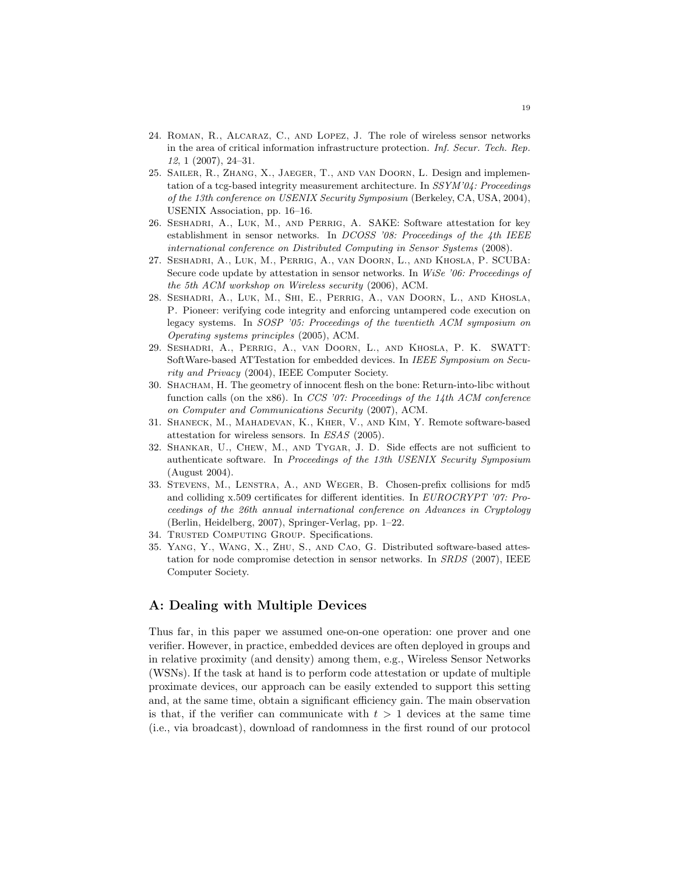- 24. Roman, R., Alcaraz, C., and Lopez, J. The role of wireless sensor networks in the area of critical information infrastructure protection. Inf. Secur. Tech. Rep. 12, 1 (2007), 24–31.
- 25. Sailer, R., Zhang, X., Jaeger, T., and van Doorn, L. Design and implementation of a tcg-based integrity measurement architecture. In SSYM'04: Proceedings of the 13th conference on USENIX Security Symposium (Berkeley, CA, USA, 2004), USENIX Association, pp. 16–16.
- 26. Seshadri, A., Luk, M., and Perrig, A. SAKE: Software attestation for key establishment in sensor networks. In DCOSS '08: Proceedings of the 4th IEEE international conference on Distributed Computing in Sensor Systems (2008).
- 27. Seshadri, A., Luk, M., Perrig, A., van Doorn, L., and Khosla, P. SCUBA: Secure code update by attestation in sensor networks. In WiSe '06: Proceedings of the 5th ACM workshop on Wireless security (2006), ACM.
- 28. Seshadri, A., Luk, M., Shi, E., Perrig, A., van Doorn, L., and Khosla, P. Pioneer: verifying code integrity and enforcing untampered code execution on legacy systems. In SOSP '05: Proceedings of the twentieth ACM symposium on Operating systems principles (2005), ACM.
- 29. Seshadri, A., Perrig, A., van Doorn, L., and Khosla, P. K. SWATT: SoftWare-based ATTestation for embedded devices. In IEEE Symposium on Security and Privacy (2004), IEEE Computer Society.
- 30. Shacham, H. The geometry of innocent flesh on the bone: Return-into-libc without function calls (on the x86). In CCS '07: Proceedings of the 14th ACM conference on Computer and Communications Security (2007), ACM.
- 31. Shaneck, M., Mahadevan, K., Kher, V., and Kim, Y. Remote software-based attestation for wireless sensors. In ESAS (2005).
- 32. Shankar, U., Chew, M., and Tygar, J. D. Side effects are not sufficient to authenticate software. In Proceedings of the 13th USENIX Security Symposium (August 2004).
- 33. Stevens, M., Lenstra, A., and Weger, B. Chosen-prefix collisions for md5 and colliding x.509 certificates for different identities. In EUROCRYPT '07: Proceedings of the 26th annual international conference on Advances in Cryptology (Berlin, Heidelberg, 2007), Springer-Verlag, pp. 1–22.
- 34. TRUSTED COMPUTING GROUP. Specifications.
- 35. Yang, Y., Wang, X., Zhu, S., and Cao, G. Distributed software-based attestation for node compromise detection in sensor networks. In SRDS (2007), IEEE Computer Society.

## A: Dealing with Multiple Devices

Thus far, in this paper we assumed one-on-one operation: one prover and one verifier. However, in practice, embedded devices are often deployed in groups and in relative proximity (and density) among them, e.g., Wireless Sensor Networks (WSNs). If the task at hand is to perform code attestation or update of multiple proximate devices, our approach can be easily extended to support this setting and, at the same time, obtain a significant efficiency gain. The main observation is that, if the verifier can communicate with  $t > 1$  devices at the same time (i.e., via broadcast), download of randomness in the first round of our protocol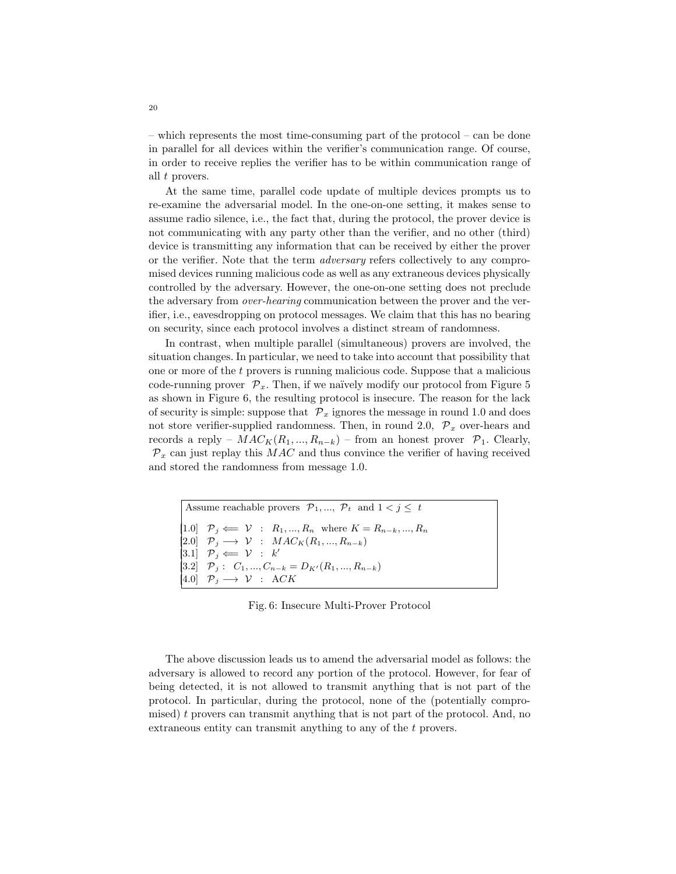– which represents the most time-consuming part of the protocol – can be done in parallel for all devices within the verifier's communication range. Of course, in order to receive replies the verifier has to be within communication range of all t provers.

At the same time, parallel code update of multiple devices prompts us to re-examine the adversarial model. In the one-on-one setting, it makes sense to assume radio silence, i.e., the fact that, during the protocol, the prover device is not communicating with any party other than the verifier, and no other (third) device is transmitting any information that can be received by either the prover or the verifier. Note that the term adversary refers collectively to any compromised devices running malicious code as well as any extraneous devices physically controlled by the adversary. However, the one-on-one setting does not preclude the adversary from over-hearing communication between the prover and the verifier, i.e., eavesdropping on protocol messages. We claim that this has no bearing on security, since each protocol involves a distinct stream of randomness.

In contrast, when multiple parallel (simultaneous) provers are involved, the situation changes. In particular, we need to take into account that possibility that one or more of the t provers is running malicious code. Suppose that a malicious code-running prover  $\mathcal{P}_x$ . Then, if we naïvely modify our protocol from Figure 5 as shown in Figure 6, the resulting protocol is insecure. The reason for the lack of security is simple: suppose that  $\mathcal{P}_x$  ignores the message in round 1.0 and does not store verifier-supplied randomness. Then, in round 2.0,  $\mathcal{P}_x$  over-hears and records a reply –  $MAC_K(R_1, ..., R_{n-k})$  – from an honest prover  $\mathcal{P}_1$ . Clearly,  $\mathcal{P}_x$  can just replay this  $MAC$  and thus convince the verifier of having received and stored the randomness from message 1.0.

Assume reachable provers  $\mathcal{P}_1, ..., \mathcal{P}_t$  and  $1 \leq j \leq t$ [1.0]  $\mathcal{P}_j \Longleftarrow \mathcal{V} : R_1, ..., R_n$  where  $K = R_{n-k}, ..., R_n$  $[2.0]$   $\mathcal{P}_j \longrightarrow \mathcal{V}$  :  $MAC_K(R_1, ..., R_{n-k})$  $[3.1]$   $\mathcal{P}_j \leftarrow \mathcal{V}$  :  $k'$  $\begin{bmatrix} 3.2 & P_j : C_1, ..., C_{n-k} = D_{K'}(R_1, ..., R_{n-k}) \end{bmatrix}$  $[4.0]$   $\mathcal{P}_j \longrightarrow \mathcal{V}$  : ACK

Fig. 6: Insecure Multi-Prover Protocol

The above discussion leads us to amend the adversarial model as follows: the adversary is allowed to record any portion of the protocol. However, for fear of being detected, it is not allowed to transmit anything that is not part of the protocol. In particular, during the protocol, none of the (potentially compromised) t provers can transmit anything that is not part of the protocol. And, no extraneous entity can transmit anything to any of the t provers.